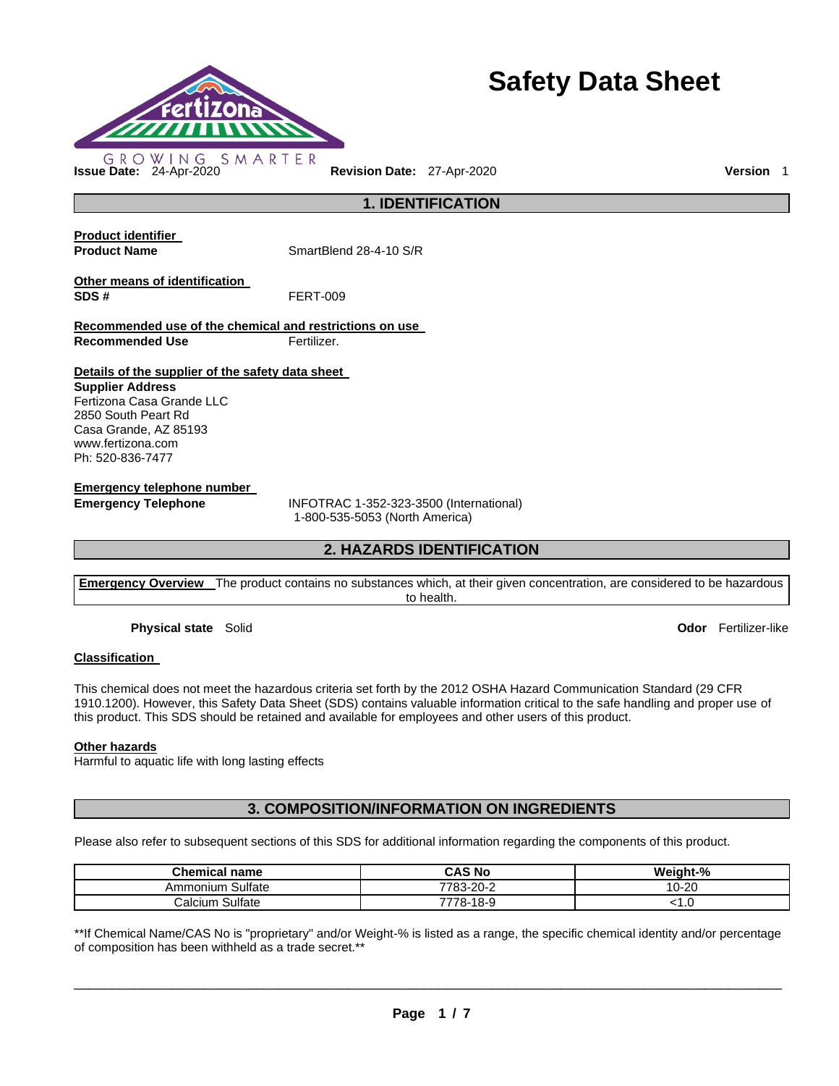

# **Safety Data Sheet**

**1. IDENTIFICATION** 

**Product identifier** 

**Product Name SmartBlend 28-4-10 S/R** 

**Other means of identification SDS #** FERT-009

**Recommended use of the chemical and restrictions on use Recommended Use Fertilizer.** 

**Details of the supplier of the safety data sheet** 

**Supplier Address** Fertizona Casa Grande LLC 2850 South Peart Rd Casa Grande, AZ 85193 www.fertizona.com Ph: 520-836-7477

**Emergency telephone number** 

**Emergency Telephone** INFOTRAC 1-352-323-3500 (International) 1-800-535-5053 (North America)

# **2. HAZARDS IDENTIFICATION**

**Emergency Overview** The product contains no substances which, at their given concentration, are considered to be hazardous to health.

**Physical state** Solid **Odor** Fertilizer-like

# **Classification**

This chemical does not meet the hazardous criteria set forth by the 2012 OSHA Hazard Communication Standard (29 CFR 1910.1200). However, this Safety Data Sheet (SDS) contains valuable information critical to the safe handling and proper use of this product. This SDS should be retained and available for employees and other users of this product.

# **Other hazards**

Harmful to aquatic life with long lasting effects

# **3. COMPOSITION/INFORMATION ON INGREDIENTS**

Please also refer to subsequent sections of this SDS for additional information regarding the components of this product.

| <b>Chemical name</b>  | CAS No    | Weight-%                      |
|-----------------------|-----------|-------------------------------|
| Ammonium Sulfate      | 7783-20-2 | 10-20                         |
| Sulfate<br>ان Calcium | 7778-18-9 | $\mathsf{L} \cdot \mathsf{U}$ |

\*\*If Chemical Name/CAS No is "proprietary" and/or Weight-% is listed as a range, the specific chemical identity and/or percentage of composition has been withheld as a trade secret.\*\*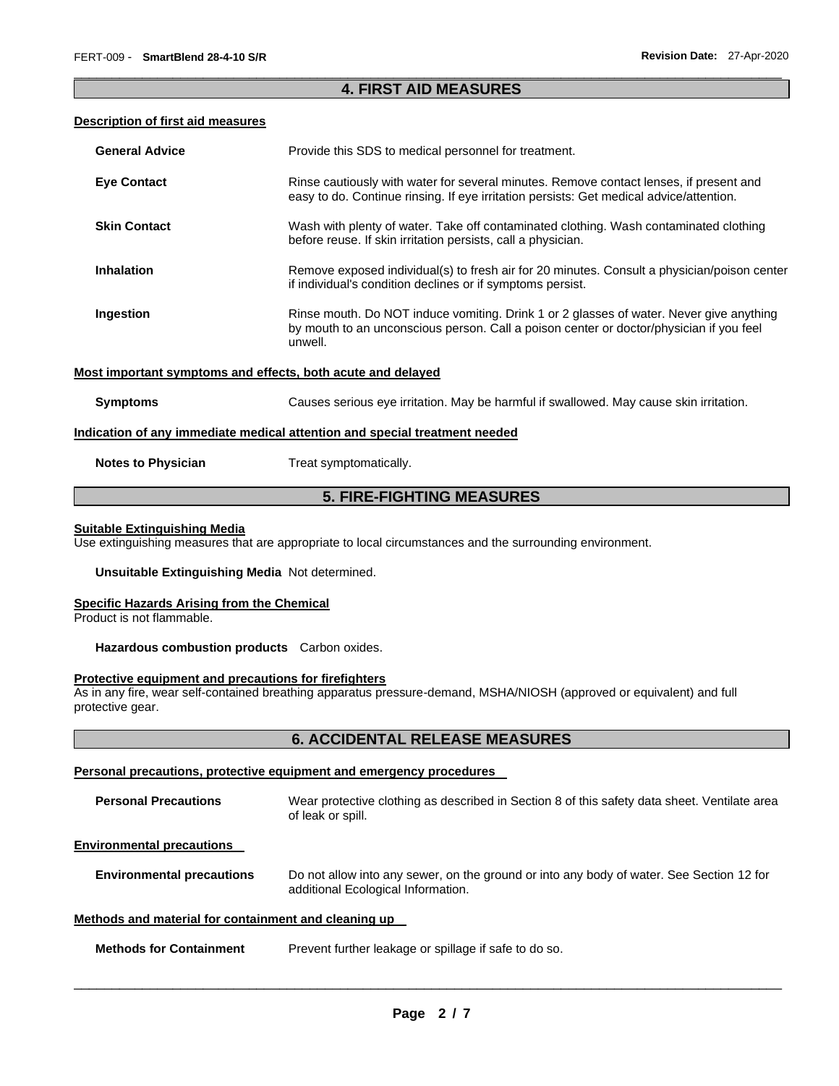# \_\_\_\_\_\_\_\_\_\_\_\_\_\_\_\_\_\_\_\_\_\_\_\_\_\_\_\_\_\_\_\_\_\_\_\_\_\_\_\_\_\_\_\_\_\_\_\_\_\_\_\_\_\_\_\_\_\_\_\_\_\_\_\_\_\_\_\_\_\_\_\_\_\_\_\_\_\_\_\_\_\_\_\_\_\_\_\_\_\_\_\_\_ **4. FIRST AID MEASURES**

# **Description of first aid measures**

| <b>General Advice</b>     | Provide this SDS to medical personnel for treatment.                                                                                                                                          |
|---------------------------|-----------------------------------------------------------------------------------------------------------------------------------------------------------------------------------------------|
| <b>Eye Contact</b>        | Rinse cautiously with water for several minutes. Remove contact lenses, if present and<br>easy to do. Continue rinsing. If eye irritation persists: Get medical advice/attention.             |
| <b>Skin Contact</b>       | Wash with plenty of water. Take off contaminated clothing. Wash contaminated clothing<br>before reuse. If skin irritation persists, call a physician.                                         |
| <b>Inhalation</b>         | Remove exposed individual(s) to fresh air for 20 minutes. Consult a physician/poison center<br>if individual's condition declines or if symptoms persist.                                     |
| Ingestion                 | Rinse mouth. Do NOT induce vomiting. Drink 1 or 2 glasses of water. Never give anything<br>by mouth to an unconscious person. Call a poison center or doctor/physician if you feel<br>unwell. |
|                           | Most important symptoms and effects, both acute and delayed                                                                                                                                   |
| <b>Symptoms</b>           | Causes serious eye irritation. May be harmful if swallowed. May cause skin irritation.                                                                                                        |
|                           | Indication of any immediate medical attention and special treatment needed                                                                                                                    |
| <b>Notes to Physician</b> | Treat symptomatically.                                                                                                                                                                        |

# **5. FIRE-FIGHTING MEASURES**

#### **Suitable Extinguishing Media**

Use extinguishing measures that are appropriate to local circumstances and the surrounding environment.

#### **Unsuitable Extinguishing Media** Not determined.

#### **Specific Hazards Arising from the Chemical**

Product is not flammable.

### **Hazardous combustion products** Carbon oxides.

# **Protective equipment and precautions for firefighters**

As in any fire, wear self-contained breathing apparatus pressure-demand, MSHA/NIOSH (approved or equivalent) and full protective gear.

# **6. ACCIDENTAL RELEASE MEASURES**

# **Personal precautions, protective equipment and emergency procedures**

| <b>Personal Precautions</b>                          | Wear protective clothing as described in Section 8 of this safety data sheet. Ventilate area<br>of leak or spill.              |
|------------------------------------------------------|--------------------------------------------------------------------------------------------------------------------------------|
| <b>Environmental precautions</b>                     |                                                                                                                                |
| <b>Environmental precautions</b>                     | Do not allow into any sewer, on the ground or into any body of water. See Section 12 for<br>additional Ecological Information. |
| Methods and material for containment and cleaning up |                                                                                                                                |

# **Methods for Containment** Prevent further leakage or spillage if safe to do so.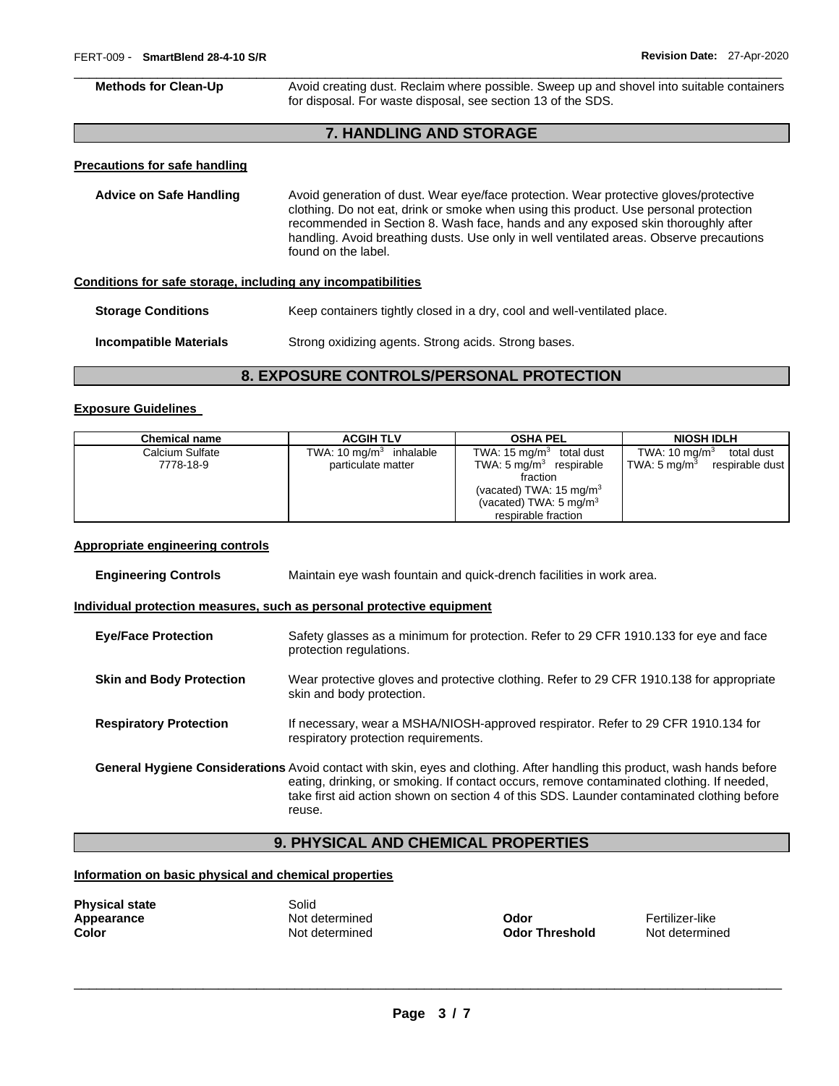\_\_\_\_\_\_\_\_\_\_\_\_\_\_\_\_\_\_\_\_\_\_\_\_\_\_\_\_\_\_\_\_\_\_\_\_\_\_\_\_\_\_\_\_\_\_\_\_\_\_\_\_\_\_\_\_\_\_\_\_\_\_\_\_\_\_\_\_\_\_\_\_\_\_\_\_\_\_\_\_\_\_\_\_\_\_\_\_\_\_\_\_\_ **Methods for Clean-Up Avoid creating dust. Reclaim where possible. Sweep up and shovel into suitable containers** for disposal. For waste disposal, see section 13 of the SDS.

# **7. HANDLING AND STORAGE**

#### **Precautions for safe handling**

**Advice on Safe Handling** Avoid generation of dust. Wear eye/face protection. Wear protective gloves/protective clothing. Do not eat, drink or smoke when using this product. Use personal protection recommended in Section 8. Wash face, hands and any exposed skin thoroughly after handling. Avoid breathing dusts. Use only in well ventilated areas. Observe precautions found on the label.

**Conditions for safe storage, including any incompatibilities**

**Storage Conditions Keep containers tightly closed in a dry, cool and well-ventilated place.** 

**Incompatible Materials Strong oxidizing agents. Strong acids. Strong bases.** 

# **8. EXPOSURE CONTROLS/PERSONAL PROTECTION**

#### **Exposure Guidelines**

| <b>Chemical name</b> | <b>ACGIH TLV</b>                   | <b>OSHA PEL</b>                    | <b>NIOSH IDLH</b>                      |
|----------------------|------------------------------------|------------------------------------|----------------------------------------|
| Calcium Sulfate      | TWA: $10 \text{ mg/m}^3$ inhalable | TWA: 15 mg/m $^3$<br>total dust    | TWA: $10 \text{ mg/m}^3$<br>total dust |
| 7778-18-9            | particulate matter                 | TWA: $5 \text{ mg/m}^3$ respirable | TWA: 5 mg/m $^3$<br>respirable dust    |
|                      |                                    | fraction                           |                                        |
|                      |                                    | (vacated) TWA: $15 \text{ mg/m}^3$ |                                        |
|                      |                                    | (vacated) TWA: $5 \text{ mg/m}^3$  |                                        |
|                      |                                    | respirable fraction                |                                        |

#### **Appropriate engineering controls**

| <b>Engineering Controls</b>     | Maintain eye wash fountain and quick-drench facilities in work area.                                                                                                                                                                                                                                                                  |  |
|---------------------------------|---------------------------------------------------------------------------------------------------------------------------------------------------------------------------------------------------------------------------------------------------------------------------------------------------------------------------------------|--|
|                                 | Individual protection measures, such as personal protective equipment                                                                                                                                                                                                                                                                 |  |
| <b>Eve/Face Protection</b>      | Safety glasses as a minimum for protection. Refer to 29 CFR 1910.133 for eye and face<br>protection regulations.                                                                                                                                                                                                                      |  |
| <b>Skin and Body Protection</b> | Wear protective gloves and protective clothing. Refer to 29 CFR 1910.138 for appropriate<br>skin and body protection.                                                                                                                                                                                                                 |  |
| <b>Respiratory Protection</b>   | If necessary, wear a MSHA/NIOSH-approved respirator. Refer to 29 CFR 1910.134 for<br>respiratory protection requirements.                                                                                                                                                                                                             |  |
|                                 | <b>General Hygiene Considerations</b> Avoid contact with skin, eyes and clothing. After handling this product, wash hands before<br>eating, drinking, or smoking. If contact occurs, remove contaminated clothing. If needed,<br>take first aid action shown on section 4 of this SDS. Launder contaminated clothing before<br>reuse. |  |

# **9. PHYSICAL AND CHEMICAL PROPERTIES**

# **Information on basic physical and chemical properties**

| <b>Physical state</b> |
|-----------------------|
| Appearance            |
| Color                 |

**Solid** 

**Apple determined Modor Codor Contains the Codor Contains Tertilizer-like**<br> **Apple 2005 Threshold** Mot determined Codor **Threshold** Not determined **Color** Not determined **Odor Threshold** Not determined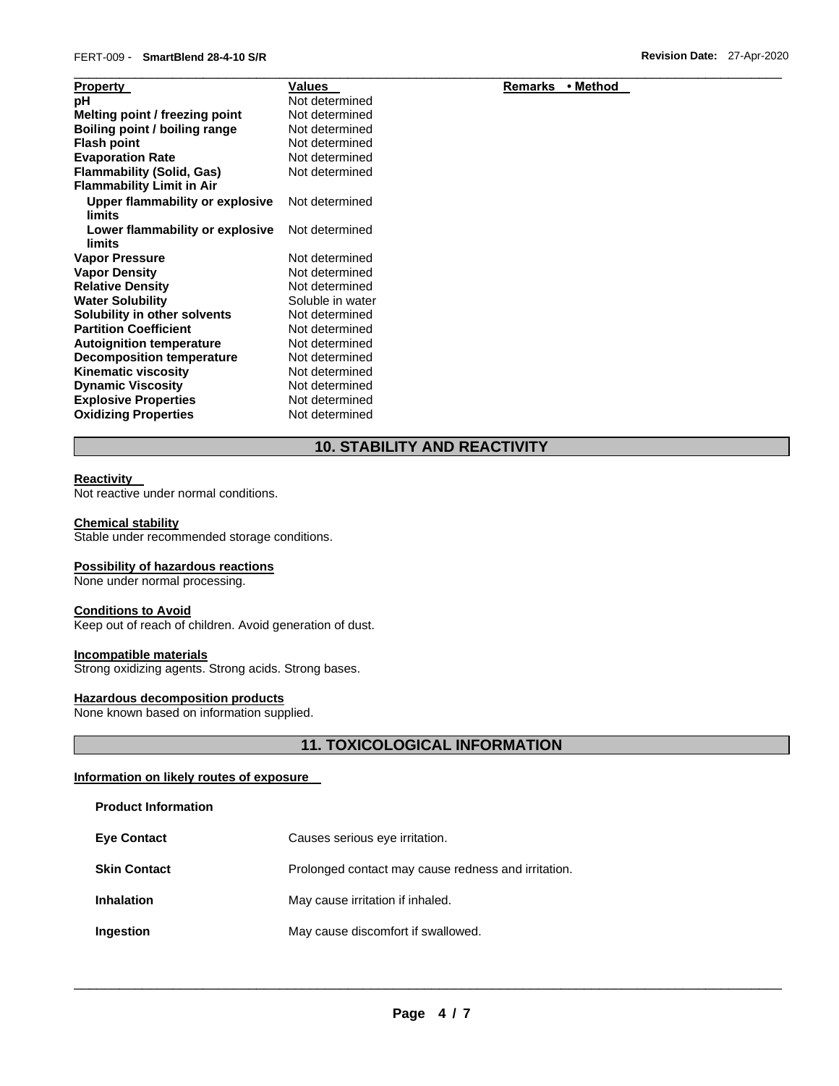| <b>Property</b>                           | Values           | Remarks<br>• Method |  |
|-------------------------------------------|------------------|---------------------|--|
| рH                                        | Not determined   |                     |  |
| Melting point / freezing point            | Not determined   |                     |  |
| Boiling point / boiling range             | Not determined   |                     |  |
| <b>Flash point</b>                        | Not determined   |                     |  |
| <b>Evaporation Rate</b>                   | Not determined   |                     |  |
| <b>Flammability (Solid, Gas)</b>          | Not determined   |                     |  |
| <b>Flammability Limit in Air</b>          |                  |                     |  |
| Upper flammability or explosive<br>limits | Not determined   |                     |  |
| Lower flammability or explosive<br>limits | Not determined   |                     |  |
| <b>Vapor Pressure</b>                     | Not determined   |                     |  |
| <b>Vapor Density</b>                      | Not determined   |                     |  |
| <b>Relative Density</b>                   | Not determined   |                     |  |
| <b>Water Solubility</b>                   | Soluble in water |                     |  |
| Solubility in other solvents              | Not determined   |                     |  |
| <b>Partition Coefficient</b>              | Not determined   |                     |  |
| <b>Autoignition temperature</b>           | Not determined   |                     |  |
| <b>Decomposition temperature</b>          | Not determined   |                     |  |
| <b>Kinematic viscosity</b>                | Not determined   |                     |  |
| <b>Dynamic Viscosity</b>                  | Not determined   |                     |  |
| <b>Explosive Properties</b>               | Not determined   |                     |  |
| <b>Oxidizing Properties</b>               | Not determined   |                     |  |

**10. STABILITY AND REACTIVITY** 

#### **Reactivity**

Not reactive under normal conditions.

#### **Chemical stability**

Stable under recommended storage conditions.

#### **Possibility of hazardous reactions**

None under normal processing.

#### **Conditions to Avoid**

Keep out of reach of children. Avoid generation of dust.

# **Incompatible materials**

Strong oxidizing agents. Strong acids. Strong bases.

# **Hazardous decomposition products**

None known based on information supplied.

# **11. TOXICOLOGICAL INFORMATION**

# **Information on likely routes of exposure**

**Product Information** 

| <b>Eye Contact</b>  | Causes serious eye irritation.                      |
|---------------------|-----------------------------------------------------|
| <b>Skin Contact</b> | Prolonged contact may cause redness and irritation. |
| <b>Inhalation</b>   | May cause irritation if inhaled.                    |
| Ingestion           | May cause discomfort if swallowed.                  |

\_\_\_\_\_\_\_\_\_\_\_\_\_\_\_\_\_\_\_\_\_\_\_\_\_\_\_\_\_\_\_\_\_\_\_\_\_\_\_\_\_\_\_\_\_\_\_\_\_\_\_\_\_\_\_\_\_\_\_\_\_\_\_\_\_\_\_\_\_\_\_\_\_\_\_\_\_\_\_\_\_\_\_\_\_\_\_\_\_\_\_\_\_

# **Remarks • Method**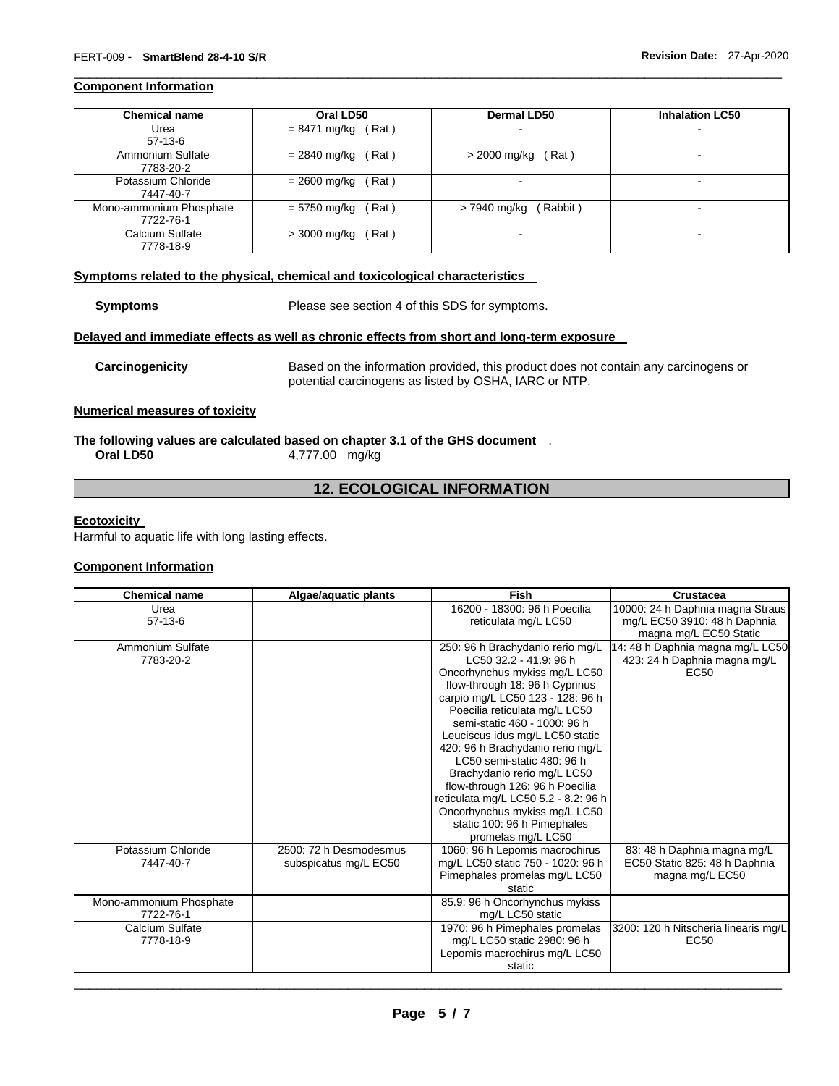# **Component Information**

| <b>Chemical name</b>    | Oral LD50              | <b>Dermal LD50</b>       | <b>Inhalation LC50</b> |
|-------------------------|------------------------|--------------------------|------------------------|
| Urea                    | Rat)<br>= 8471 mg/kg   | $\blacksquare$           | -                      |
| $57-13-6$               |                        |                          |                        |
| Ammonium Sulfate        | = 2840 mg/kg<br>Rat)   | $>$ 2000 mg/kg (Rat)     |                        |
| 7783-20-2               |                        |                          |                        |
| Potassium Chloride      | Rat)<br>$= 2600$ mg/kg | $\overline{\phantom{a}}$ | -                      |
| 7447-40-7               |                        |                          |                        |
| Mono-ammonium Phosphate | Rat)<br>= 5750 mg/kg   | (Rabbit)<br>> 7940 mg/kg | -                      |
| 7722-76-1               |                        |                          |                        |
| Calcium Sulfate         | Rat)<br>$>$ 3000 mg/kg |                          |                        |
| 7778-18-9               |                        |                          |                        |

\_\_\_\_\_\_\_\_\_\_\_\_\_\_\_\_\_\_\_\_\_\_\_\_\_\_\_\_\_\_\_\_\_\_\_\_\_\_\_\_\_\_\_\_\_\_\_\_\_\_\_\_\_\_\_\_\_\_\_\_\_\_\_\_\_\_\_\_\_\_\_\_\_\_\_\_\_\_\_\_\_\_\_\_\_\_\_\_\_\_\_\_\_

# **Symptoms related to the physical, chemical and toxicological characteristics**

**Symptoms** Please see section 4 of this SDS for symptoms.

### **Delayed and immediate effects as well as chronic effects from short and long-term exposure**

**Carcinogenicity** Based on the information provided, this product does not contain any carcinogens or potential carcinogens as listed by OSHA, IARC or NTP.

# **Numerical measures of toxicity**

#### **The following values are calculated based on chapter 3.1 of the GHS document** . **Oral LD50** 4,777.00 mg/kg

# **12. ECOLOGICAL INFORMATION**

# **Ecotoxicity**

Harmful to aquatic life with long lasting effects.

# **Component Information**

| <b>Chemical name</b>    | Algae/aquatic plants   | Fish                                 | Crustacea                            |
|-------------------------|------------------------|--------------------------------------|--------------------------------------|
| Urea                    |                        | 16200 - 18300: 96 h Poecilia         | 10000: 24 h Daphnia magna Straus     |
| $57-13-6$               |                        | reticulata mg/L LC50                 | mg/L EC50 3910: 48 h Daphnia         |
|                         |                        |                                      | magna mg/L EC50 Static               |
| Ammonium Sulfate        |                        | 250: 96 h Brachydanio rerio mg/L     | 14: 48 h Daphnia magna mg/L LC50     |
| 7783-20-2               |                        | LC50 32.2 - 41.9: 96 h               | 423: 24 h Daphnia magna mg/L         |
|                         |                        | Oncorhynchus mykiss mg/L LC50        | EC <sub>50</sub>                     |
|                         |                        | flow-through 18: 96 h Cyprinus       |                                      |
|                         |                        | carpio mg/L LC50 123 - 128: 96 h     |                                      |
|                         |                        | Poecilia reticulata mg/L LC50        |                                      |
|                         |                        | semi-static 460 - 1000: 96 h         |                                      |
|                         |                        | Leuciscus idus mg/L LC50 static      |                                      |
|                         |                        | 420: 96 h Brachydanio rerio mg/L     |                                      |
|                         |                        | LC50 semi-static 480: 96 h           |                                      |
|                         |                        | Brachydanio rerio mg/L LC50          |                                      |
|                         |                        | flow-through 126: 96 h Poecilia      |                                      |
|                         |                        | reticulata mg/L LC50 5.2 - 8.2: 96 h |                                      |
|                         |                        | Oncorhynchus mykiss mg/L LC50        |                                      |
|                         |                        | static 100: 96 h Pimephales          |                                      |
|                         |                        | promelas mg/L LC50                   |                                      |
| Potassium Chloride      | 2500: 72 h Desmodesmus | 1060: 96 h Lepomis macrochirus       | 83: 48 h Daphnia magna mg/L          |
| 7447-40-7               | subspicatus mg/L EC50  | mg/L LC50 static 750 - 1020: 96 h    | EC50 Static 825: 48 h Daphnia        |
|                         |                        | Pimephales promelas mg/L LC50        | magna mg/L EC50                      |
|                         |                        | static                               |                                      |
| Mono-ammonium Phosphate |                        | 85.9: 96 h Oncorhynchus mykiss       |                                      |
| 7722-76-1               |                        | mg/L LC50 static                     |                                      |
| Calcium Sulfate         |                        | 1970: 96 h Pimephales promelas       | 3200: 120 h Nitscheria linearis mg/L |
| 7778-18-9               |                        | mg/L LC50 static 2980: 96 h          | EC <sub>50</sub>                     |
|                         |                        | Lepomis macrochirus mg/L LC50        |                                      |
|                         |                        | static                               |                                      |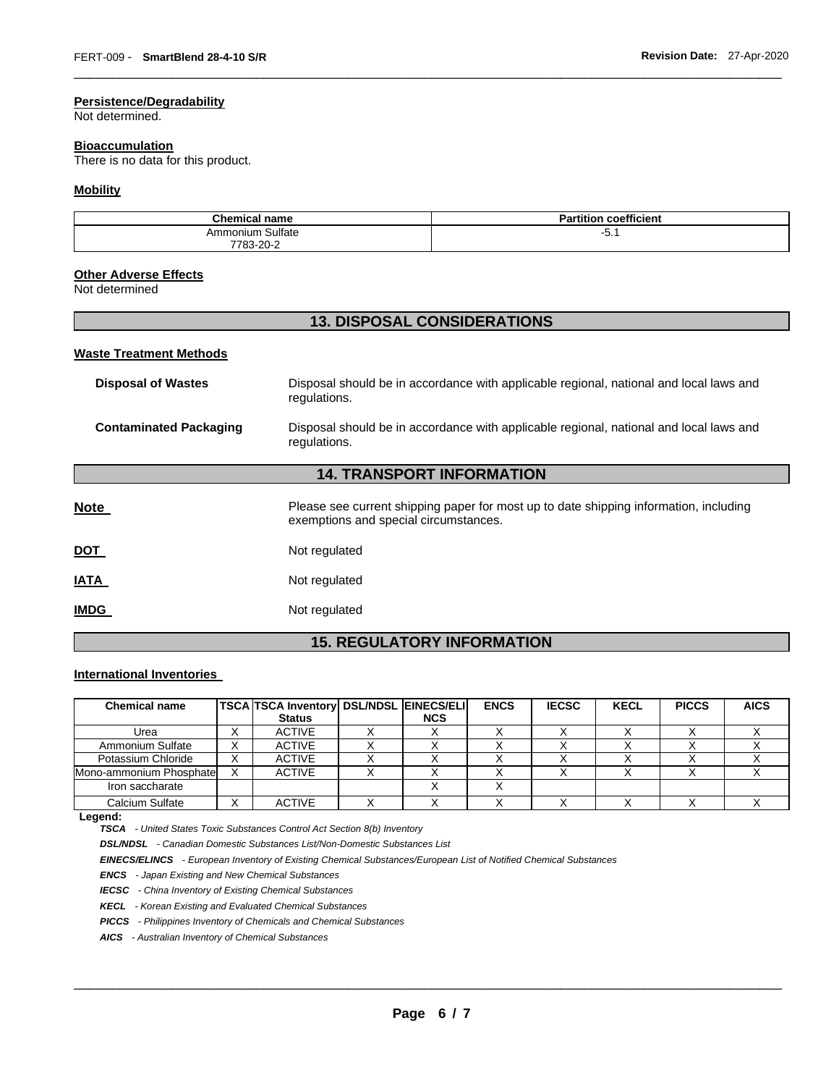# **Persistence/Degradability**

Not determined.

# **Bioaccumulation**

There is no data for this product.

# **Mobility**

| <b>Chemical name</b> | coefficient<br><b>Partition</b> |
|----------------------|---------------------------------|
| Ammonium Sulfate     | <u>.</u><br>−ບ. .               |
| ے۔20-7783-20<br>.    |                                 |

\_\_\_\_\_\_\_\_\_\_\_\_\_\_\_\_\_\_\_\_\_\_\_\_\_\_\_\_\_\_\_\_\_\_\_\_\_\_\_\_\_\_\_\_\_\_\_\_\_\_\_\_\_\_\_\_\_\_\_\_\_\_\_\_\_\_\_\_\_\_\_\_\_\_\_\_\_\_\_\_\_\_\_\_\_\_\_\_\_\_\_\_\_

# **Other Adverse Effects**

Not determined

# **13. DISPOSAL CONSIDERATIONS**

#### **Waste Treatment Methods**

| <b>Disposal of Wastes</b>     | Disposal should be in accordance with applicable regional, national and local laws and<br>regulations.                         |
|-------------------------------|--------------------------------------------------------------------------------------------------------------------------------|
| <b>Contaminated Packaging</b> | Disposal should be in accordance with applicable regional, national and local laws and<br>regulations.                         |
|                               | <b>14. TRANSPORT INFORMATION</b>                                                                                               |
|                               |                                                                                                                                |
| <b>Note</b>                   | Please see current shipping paper for most up to date shipping information, including<br>exemptions and special circumstances. |
| <b>DOT</b>                    | Not regulated                                                                                                                  |
| <b>IATA</b>                   | Not regulated                                                                                                                  |
| <b>IMDG</b>                   | Not regulated                                                                                                                  |

# **15. REGULATORY INFORMATION**

# **International Inventories**

| <b>Chemical name</b>    |                        | <b>TSCA TSCA Inventory DSL/NDSL EINECS/ELI</b> |            | <b>ENCS</b> | <b>IECSC</b> | <b>KECL</b> | <b>PICCS</b> | <b>AICS</b> |
|-------------------------|------------------------|------------------------------------------------|------------|-------------|--------------|-------------|--------------|-------------|
|                         |                        | <b>Status</b>                                  | <b>NCS</b> |             |              |             |              |             |
| Urea                    | $\lambda$              | <b>ACTIVE</b>                                  |            |             |              |             |              |             |
| Ammonium Sulfate        | $\checkmark$<br>$\sim$ | <b>ACTIVE</b>                                  |            |             |              |             |              |             |
| Potassium Chloride      | ⌒                      | <b>ACTIVE</b>                                  |            |             |              |             |              |             |
| Mono-ammonium Phosphate |                        | <b>ACTIVE</b>                                  |            |             |              |             |              |             |
| Iron saccharate         |                        |                                                |            |             |              |             |              |             |
| Calcium Sulfate         | ⌒                      | <b>ACTIVE</b>                                  |            |             |              |             |              |             |

#### **Legend:**

*TSCA - United States Toxic Substances Control Act Section 8(b) Inventory* 

*DSL/NDSL - Canadian Domestic Substances List/Non-Domestic Substances List* 

*EINECS/ELINCS - European Inventory of Existing Chemical Substances/European List of Notified Chemical Substances* 

*ENCS - Japan Existing and New Chemical Substances* 

*IECSC - China Inventory of Existing Chemical Substances* 

*KECL - Korean Existing and Evaluated Chemical Substances* 

*PICCS - Philippines Inventory of Chemicals and Chemical Substances* 

*AICS - Australian Inventory of Chemical Substances*